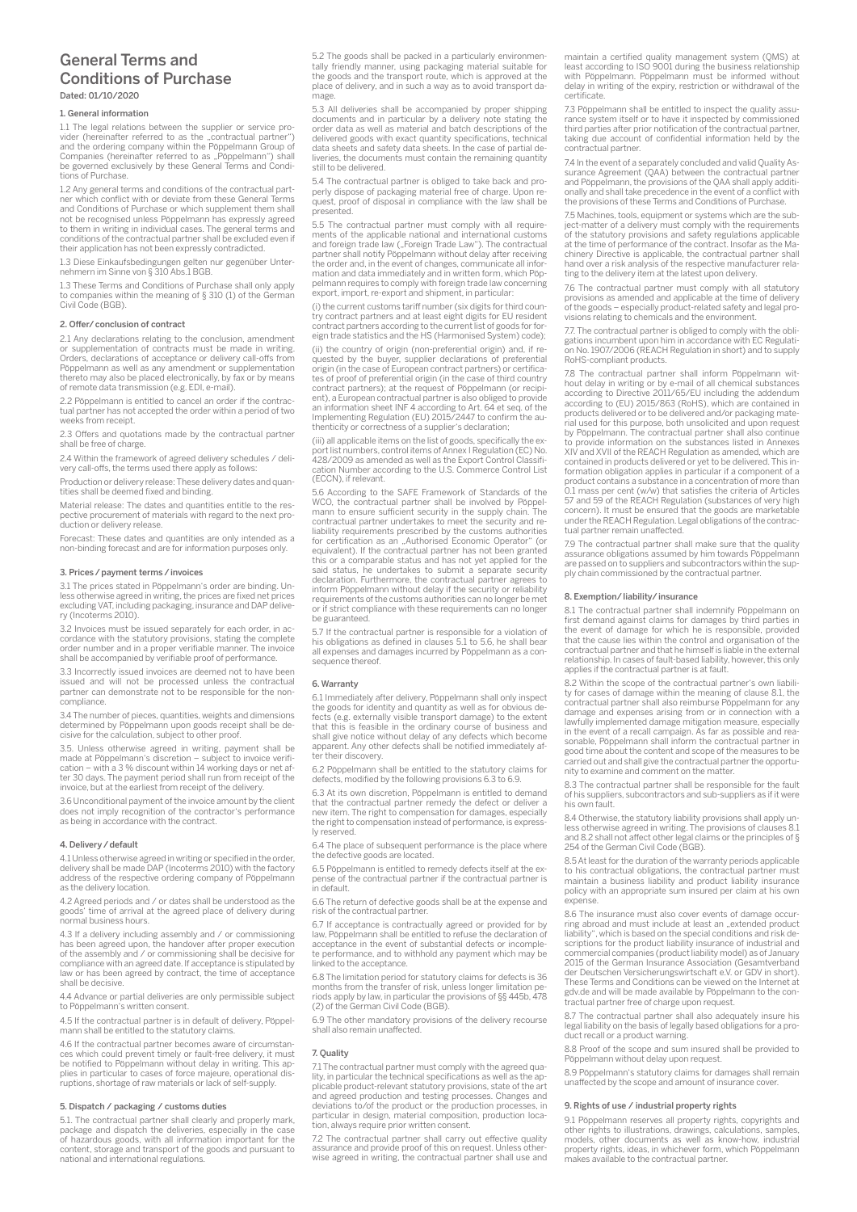# General Terms and Conditions of Purchase Dated: 01/10/2020

# General information

1.1 The legal relations between the supplier or service provider (hereinafter referred to as the "contractual partner")<br>and the ordering company within the Pöppelmann Group of<br>Companies (hereinafter referred to as "Pöppelmann") shall<br>be governed exclusively by these General Terms tions of Purchase.

1.2 Any general terms and conditions of the contractual partner which conflict with or deviate from these General Terms and Conditions of Purchase or which supplement them shall not be recognised unless Pöppelmann has expressly agreed to them in writing in individual cases. The general terms and conditions of the contractual partner shall be excluded even if their application has not been expressly contradicted.

1.3 Diese Einkaufsbedingungen gelten nur gegenüber Unter-nehmern im Sinne von § 310 Abs.1 BGB.

1.3 These Terms and Conditions of Purchase shall only apply to companies within the meaning of § 310 (1) of the German Civil Code (BGB).

#### 2. Offer/conclusion of contract

2.1 Any declarations relating to the conclusion, amendment or supplementation of contracts must be made in writing. Orders, declarations of acceptance or delivery call-offs from Pöppelmann as well as any amendment or supplementation thereto may also be placed electronically, by fax or by means of remote data transmission (e.g. EDI, e-mail).

2.2 Pöppelmann is entitled to cancel an order if the contractual partner has not accepted the order within a period of two weeks from receipt.

2.3 Offers and quotations made by the contractual partner shall be free of charge.

2.4 Within the framework of agreed delivery schedules / delivery call-offs, the terms used there apply as follows:

Production or delivery release: These delivery dates and quantities shall be deemed fixed and binding.

Material release: The dates and quantities entitle to the respective procurement of materials with regard to the next production or delivery release.

Forecast: These dates and quantities are only intended as a non-binding forecast and are for information purposes only.

# 3. Prices/payment terms/invoices

3.1 The prices stated in Pöppelmann's order are binding. Unless otherwise agreed in writing, the prices are fixed net prices excluding VAT, including packaging, insurance and DAP delivery (Incoterms 2010).

3.2 Invoices must be issued separately for each order, in accordance with the statutory provisions, stating the complete corder number and in a proper verifiable manner. The invoice shall be accompanied by verifiable proof

3.3 Incorrectly issued invoices are deemed not to have been issued and will not be processed unless the contractual partner can demonstrate not to be responsible for the noncompliance.

3.4 The number of pieces, quantities, weights and dimensions determined by Pöppelmann upon goods receipt shall be de-cisive for the calculation, subject to other proof.

3.5. Unless otherwise agreed in writing, payment shall be made at Pöppelmann's discretion – subject to invoice verifi-cation – with a 3 % discount within 14 working days or net after 30 days. The payment period shall run from receipt of the invoice, but at the earliest from receipt of the delivery.

3.6 Unconditional payment of the invoice amount by the client does not imply recognition of the contractor's performance as being in accordance with the contract.

#### 4. Delivery/default

4.1 Unless otherwise agreed in writing or specified in the order, delivery shall be made DAP (Incoterms 2010) with the factory address of the respective ordering company of Pöppelmann as the delivery location.

4.2 Agreed periods and / or dates shall be understood as the goods' time of arrival at the agreed place of delivery during normal business hours.

4.3 If a delivery including assembly and / or commissioning has been agreed upon, the handover after proper execution of the assembly and / or commissioning shall be decisive for compliance with an agreed date. If acceptance is stipulated by law or has been agreed by contract, the time of acceptance shall be decisive.

4.4 Advance or partial deliveries are only permissible subject to Pöppelmann's written consent.

4.5 If the contractual partner is in default of delivery, Pöppelmann shall be entitled to the statutory claims.

4.6 If the contractual partner becomes aware of circumstances which could prevent timely or fault-free delivery, it must be notified to Pöppelmann without delay in writing. This applies in particular to cases of force majeure, operational disruptions, shortage of raw materials or lack of self-supply.

# 5. Dispatch / packaging / customs duties

5.1. The contractual partner shall clearly and properly mark, package and dispatch the deliveries, especially in the case of hazardous goods, with all information important for the content, storage and transport of the goods and pursuant to national and international regulations. 5.2 The goods shall be packed in a particularly environmentally friendly manner, using packaging material suitable for the goods and the transport route, which is approved at the place of delivery, and in such a way as to avoid transport damage.

5.3 All deliveries shall be accompanied by proper shipping documents and in particular by a delivery note stating the order data as well as material and batch descriptions of the delivered goods with exact quantity specifications, technical data sheets and safety data sheets. In the case of partial deliveries, the documents must contain the remaining quantity still to be delivered.

5.4 The contractual partner is obliged to take back and pro-perly dispose of packaging material free of charge. Upon request, proof of disposal in compliance with the law shall be presented.

5.5 The contractual partner must comply with all requirements of the applicable national and international customs<br>and foreign trade law ("Foreign Trade Law"). The contractual partner shall notify Pöppelmann without delay after receiving the order and, in the event of changes, communicate all information and data immediately and in written form, which Pöp-pelmann requires to comply with foreign trade law concerning export, import, re-export and shipment, in particular:

(i) the current customs tariff number (six digits for third country contract partners and at least eight digits for EU resident contract partners according to the current list of goods for for-eign trade statistics and the HS (Harmonised System) code);

(ii) the country of origin (non-preferential origin) and, if requested by the buyer, supplier declarations of preferential origin (in the case of European contract partners) or certificates of proof of preferential origin (in the case of third country contract partners); at the request of Pöppelmann (or recipient), a European contractual partner is also obliged to provide<br>an information sheet INF 4 according to Art. 64 et seq. of the<br>Implementing Regulation (EU) 2015/2447 to confirm the au-<br>thenticity or correctness of a suppli

(iii) all applicable items on the list of goods, specifically the export list numbers, control items of Annex I Regulation (EC) No. 428/2009 as amended as well as the Export Control Classifi-cation Number according to the U.S. Commerce Control List (ECCN), if relevant.

5.6 According to the SAFE Framework of Standards of the WCO, the contractual partner shall be involved by Pöppel-mann to ensure sufficient security in the supply chain. The contractual partner undertakes to meet the security and reliability requirements prescribed by the customs authorities for certification as an "Authorised Economic Operator" (or<br>equivalent). If the contractual partner has not been granted this or a comparable status and has not yet applied for the said status, he undertakes to submit a separate security declaration. Furthermore, the contractual partner agrees to inform Pöppelmann without delay if the security or reliability requirements of the customs authorities can no longer be met or if strict compliance with these requirements can no longer be guaranteed.

5.7 If the contractual partner is responsible for a violation of his obligations as defined in clauses 5.1 to 5.6, he shall bear all expenses and damages incurred by Pöppelmann as a consequence thereof.

#### 6. Warranty

6.1 Immediately after delivery, Pöppelmann shall only inspect the goods for identity and quantity as well as for obvious defects (e.g. externally visible transport damage) to the extent that this is feasible in the ordinary course of business and shall give notice without delay of any defects which become apparent. Any other defects shall be notified immediately after their discovery.

6.2 Pöppelmann shall be entitled to the statutory claims for defects, modified by the following provisions 6.3 to 6.9.

6.3 At its own discretion, Pöppelmann is entitled to demand that the contractual partner remedy the defect or deliver a new item. The right to compensation for damages, especially the right to compensation instead of performance, is expressly reserved.

6.4 The place of subsequent performance is the place where the defective goods are located.

6.5 Pöppelmann is entitled to remedy defects itself at the expense of the contractual partner if the contractual partner is in default.

6.6 The return of defective goods shall be at the expense and risk of the contractual partner.

6.7 If acceptance is contractually agreed or provided for by law, Pöppelmann shall be entitled to refuse the declaration of acceptance in the event of substantial defects or incomple-te performance, and to withhold any payment which may be linked to the acceptance.

6.8 The limitation period for statutory claims for defects is 36 months from the transfer of risk, unless longer limitation pe-riods apply by law, in particular the provisions of §§ 445b, 478 (2) of the German Civil Code (BGB).

6.9 The other mandatory provisions of the delivery recourse shall also remain unaffected.

#### 7. Quality

7.1 The contractual partner must comply with the agreed quality, in particular the technical specifications as well as the ap-plicable product-relevant statutory provisions, state of the art and agreed production and testing processes. Changes and deviations to/of the product or the production processes, in particular in design, material composition, production location, always require prior written consent.

7.2 The contractual partner shall carry out effective quality assurance and provide proof of this on request. Unless otherwise agreed in writing, the contractual partner shall use and

maintain a certified quality management system (QMS) at least according to ISO 9001 during the business relationship with Pöppelmann. Pöppelmann must be informed without delay in writing of the expiry, restriction or withdrawal of the certificate.

7.3 Pöppelmann shall be entitled to inspect the quality assurance system itself or to have it inspected by commissioned third parties after prior notification of the contractual partner, taking due account of confidential information held by the contractual partner.

7.4 In the event of a separately concluded and valid Quality Assurance Agreement (QAA) between the contractual partner and Pöppelmann, the provisions of the QAA shall apply additionally and shall take precedence in the event of a conflict with the provisions of these Terms and Conditions of Purchase.

7.5 Machines, tools, equipment or systems which are the subject-matter of a delivery must comply with the requirements of the statutory provisions and safety regulations applicable at the time of performance of the contract. Insofar as the Ma-chinery Directive is applicable, the contractual partner shall hand over a risk analysis of the respective manufacturer relating to the delivery item at the latest upon delivery.

7.6 The contractual partner must comply with all statutory provisions as amended and applicable at the time of delivery of the goods – especially product-related safety and legal provisions relating to chemicals and the environment.

7.7. The contractual partner is obliged to comply with the obligations incumbent upon him in accordance with EC Regulation No. 1907/2006 (REACH Regulation in short) and to supply RoHS-compliant products.

7.8 The contractual partner shall inform Pöppelmann without delay in writing or by e-mail of all chemical substances according to Directive 2011/65/EU including the addendum according to (EU) 2015/863 (RoHS), which are contained in products delivered or to be delivered and/or packaging material used for this purpose, both unsolicited and upon request by Pöppelmann. The contractual partner shall also continue to provide information on the substances listed in Annexes In the Substances issea in American contract of the Substances issea in American contained in products delivered or yet to be delivered. This in-formation obligation applies in particular if a component of a product contains a substance in a concentration of more than 0.1 mass per cent (w/w) that satisfies the criteria of Articles 57 and 59 of the REACH Regulation (substances of very high concern). It must be ensured that the goods are marketable under the REACH Regulation. Legal obligations of the contrac-tual partner remain unaffected.

7.9 The contractual partner shall make sure that the quality As the contractual partner shall make safe that the quality assurance obligations assumed by him towards Pöppelmann are passed on to suppliers and subcontractors within the supply chain commissioned by the contractual partner.

# 8. Exemption/liability/insurance

8.1 The contractual partner shall indemnify Pöppelmann on first demand against claims for damages by third parties in the event of damage for which he is responsible, provided that the cause lies within the control and organisation of the contractual partner and that he himself is liable in the external relationship. In cases of fault-based liability, however, this only applies if the contractual partner is at fault.

8.2 Within the scope of the contractual partner's own liability for cases of damage within the meaning of clause 8.1, the contractual partner shall also reimburse Pöppelmann for any damage and expenses arising from or in connection with a lawfully implemented damage mitigation measure, especially in the event of a recall campaign. As far as possible and reasonable, Pöppelmann shall inform the contractual partner in good time about the content and scope of the measures to be carried out and shall give the contractual partner the opportunity to examine and comment on the matter.

8.3 The contractual partner shall be responsible for the fault of his suppliers, subcontractors and sub-suppliers as if it were his own fault.

8.4 Otherwise, the statutory liability provisions shall apply un-less otherwise agreed in writing. The provisions of clauses 8.1 and 8.2 shall not affect other legal claims or the principles of § 254 of the German Civil Code (BGB).

8.5 At least for the duration of the warranty periods applicable to his contractual obligations, the contractual partner must maintain a business liability and product liability insurance policy with an appropriate sum insured per claim at his own expense.

8.6 The insurance must also cover events of damage occurring abroad and must include at least an "extended product<br>liability", which is based on the special conditions and risk descriptions for the product liability insurance of industrial and commercial companies (product liability model) as of January 2015 of the German Insurance Association (Gesamtverband der Deutschen Versicherungswirtschaft e.V. or GDV in short). These Terms and Conditions can be viewed on the Internet at gdv.de and will be made available by Pöppelmann to the congav.ac and will be made available by I opper<br>tractual partner free of charge upon request.

8.7 The contractual partner shall also adequately insure his legal liability on the basis of legally based obligations for a pro-duct recall or a product warning.

8.8 Proof of the scope and sum insured shall be provided to Pöppelmann without delay upon request.

8.9 Pöppelmann's statutory claims for damages shall remain unaffected by the scope and amount of insurance cover.

# 9. Rights of use / industrial property rights

9.1 Pöppelmann reserves all property rights, copyrights and other rights to illustrations, drawings, calculations, samples, models, other documents as well as know-how, industrial property rights, ideas, in whichever form, which Pöppelmann makes available to the contractual partner.